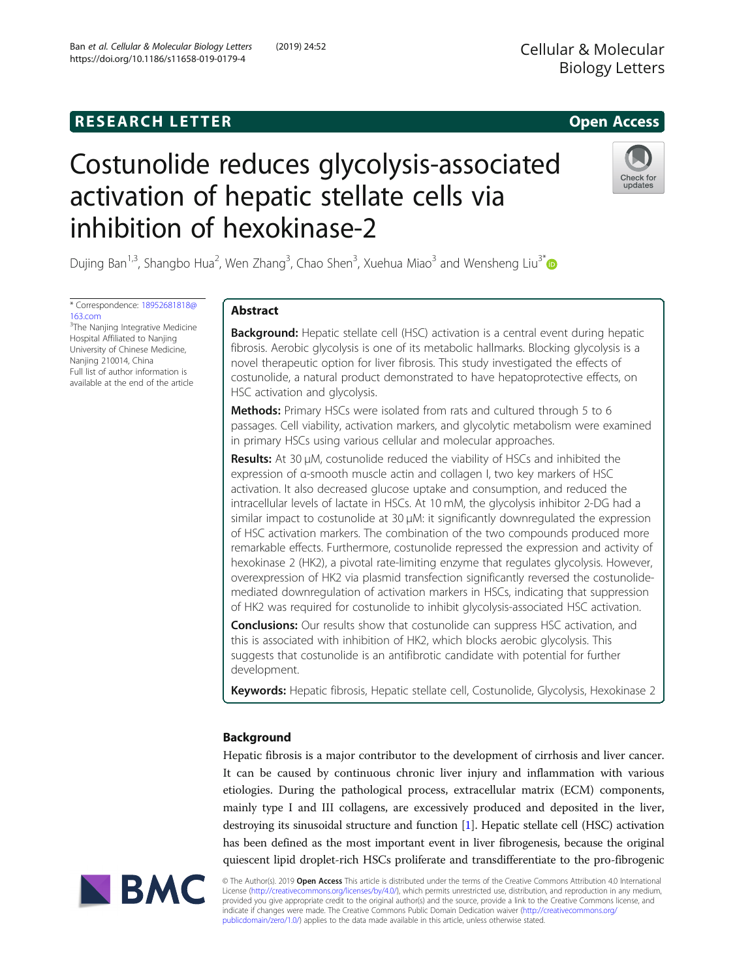# **RESEARCH LETTER CHIPS AND EXAMPLE ASSESS Open Access**

# Costunolide reduces glycolysis-associated activation of hepatic stellate cells via inhibition of hexokinase-2

Dujing Ban<sup>1,3</sup>, Shangbo Hua<sup>2</sup>, Wen Zhang<sup>3</sup>, Chao Shen<sup>3</sup>, Xuehua Miao<sup>3</sup> and Wensheng Liu<sup>3\*</sup>

\* Correspondence: [18952681818@](mailto:18952681818@163.com) [163.com](mailto:18952681818@163.com) <sup>3</sup>The Nanjing Integrative Medicine Hospital Affiliated to Nanjing

University of Chinese Medicine, Nanjing 210014, China Full list of author information is available at the end of the article

# Abstract

**Background:** Hepatic stellate cell (HSC) activation is a central event during hepatic fibrosis. Aerobic glycolysis is one of its metabolic hallmarks. Blocking glycolysis is a novel therapeutic option for liver fibrosis. This study investigated the effects of costunolide, a natural product demonstrated to have hepatoprotective effects, on HSC activation and glycolysis.

Methods: Primary HSCs were isolated from rats and cultured through 5 to 6 passages. Cell viability, activation markers, and glycolytic metabolism were examined in primary HSCs using various cellular and molecular approaches.

Results: At 30 μM, costunolide reduced the viability of HSCs and inhibited the expression of α-smooth muscle actin and collagen I, two key markers of HSC activation. It also decreased glucose uptake and consumption, and reduced the intracellular levels of lactate in HSCs. At 10 mM, the glycolysis inhibitor 2-DG had a similar impact to costunolide at 30 μM: it significantly downregulated the expression of HSC activation markers. The combination of the two compounds produced more remarkable effects. Furthermore, costunolide repressed the expression and activity of hexokinase 2 (HK2), a pivotal rate-limiting enzyme that regulates glycolysis. However, overexpression of HK2 via plasmid transfection significantly reversed the costunolidemediated downregulation of activation markers in HSCs, indicating that suppression of HK2 was required for costunolide to inhibit glycolysis-associated HSC activation.

**Conclusions:** Our results show that costunolide can suppress HSC activation, and this is associated with inhibition of HK2, which blocks aerobic glycolysis. This suggests that costunolide is an antifibrotic candidate with potential for further development.

Keywords: Hepatic fibrosis, Hepatic stellate cell, Costunolide, Glycolysis, Hexokinase 2

# Background

Hepatic fibrosis is a major contributor to the development of cirrhosis and liver cancer. It can be caused by continuous chronic liver injury and inflammation with various etiologies. During the pathological process, extracellular matrix (ECM) components, mainly type I and III collagens, are excessively produced and deposited in the liver, destroying its sinusoidal structure and function [\[1\]](#page-8-0). Hepatic stellate cell (HSC) activation has been defined as the most important event in liver fibrogenesis, because the original quiescent lipid droplet-rich HSCs proliferate and transdifferentiate to the pro-fibrogenic



© The Author(s). 2019 Open Access This article is distributed under the terms of the Creative Commons Attribution 4.0 International License ([http://creativecommons.org/licenses/by/4.0/\)](http://creativecommons.org/licenses/by/4.0/), which permits unrestricted use, distribution, and reproduction in any medium, provided you give appropriate credit to the original author(s) and the source, provide a link to the Creative Commons license, and indicate if changes were made. The Creative Commons Public Domain Dedication waiver ([http://creativecommons.org/](http://creativecommons.org/publicdomain/zero/1.0/) [publicdomain/zero/1.0/\)](http://creativecommons.org/publicdomain/zero/1.0/) applies to the data made available in this article, unless otherwise stated.



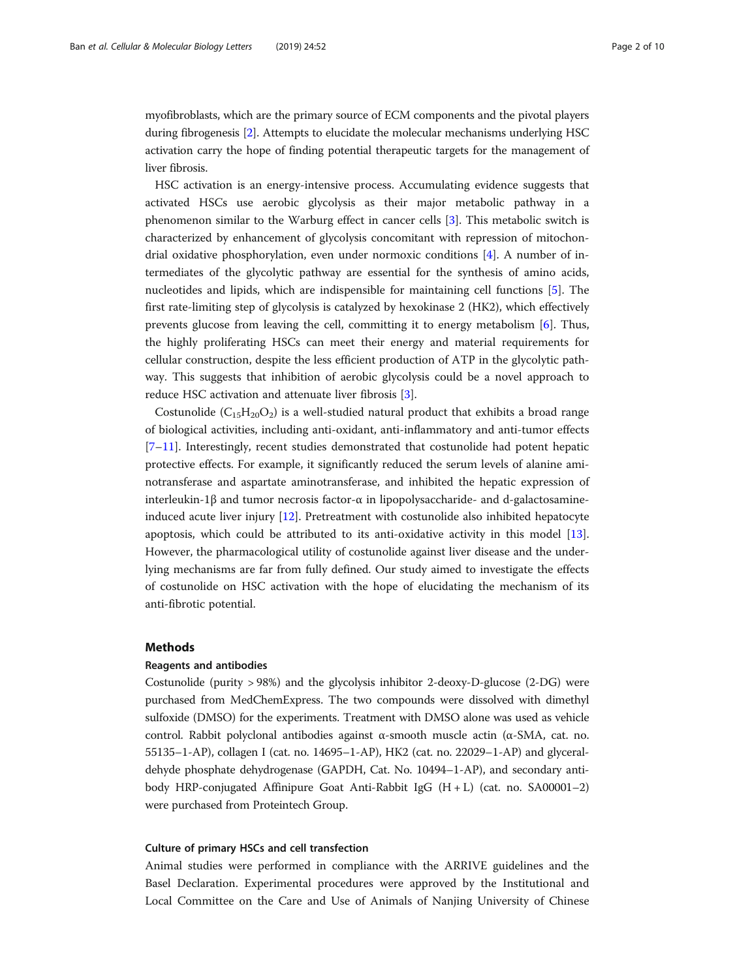myofibroblasts, which are the primary source of ECM components and the pivotal players during fibrogenesis [\[2\]](#page-8-0). Attempts to elucidate the molecular mechanisms underlying HSC activation carry the hope of finding potential therapeutic targets for the management of liver fibrosis.

HSC activation is an energy-intensive process. Accumulating evidence suggests that activated HSCs use aerobic glycolysis as their major metabolic pathway in a phenomenon similar to the Warburg effect in cancer cells [[3\]](#page-8-0). This metabolic switch is characterized by enhancement of glycolysis concomitant with repression of mitochondrial oxidative phosphorylation, even under normoxic conditions [\[4](#page-8-0)]. A number of intermediates of the glycolytic pathway are essential for the synthesis of amino acids, nucleotides and lipids, which are indispensible for maintaining cell functions [\[5](#page-8-0)]. The first rate-limiting step of glycolysis is catalyzed by hexokinase 2 (HK2), which effectively prevents glucose from leaving the cell, committing it to energy metabolism [[6](#page-9-0)]. Thus, the highly proliferating HSCs can meet their energy and material requirements for cellular construction, despite the less efficient production of ATP in the glycolytic pathway. This suggests that inhibition of aerobic glycolysis could be a novel approach to reduce HSC activation and attenuate liver fibrosis [[3\]](#page-8-0).

Costunolide  $(C_{15}H_{20}O_2)$  is a well-studied natural product that exhibits a broad range of biological activities, including anti-oxidant, anti-inflammatory and anti-tumor effects  $[7-11]$  $[7-11]$  $[7-11]$  $[7-11]$  $[7-11]$ . Interestingly, recent studies demonstrated that costunolide had potent hepatic protective effects. For example, it significantly reduced the serum levels of alanine aminotransferase and aspartate aminotransferase, and inhibited the hepatic expression of interleukin-1β and tumor necrosis factor-α in lipopolysaccharide- and d-galactosamineinduced acute liver injury [\[12\]](#page-9-0). Pretreatment with costunolide also inhibited hepatocyte apoptosis, which could be attributed to its anti-oxidative activity in this model [[13](#page-9-0)]. However, the pharmacological utility of costunolide against liver disease and the underlying mechanisms are far from fully defined. Our study aimed to investigate the effects of costunolide on HSC activation with the hope of elucidating the mechanism of its anti-fibrotic potential.

#### Methods

### Reagents and antibodies

Costunolide (purity > 98%) and the glycolysis inhibitor 2-deoxy-D-glucose (2-DG) were purchased from MedChemExpress. The two compounds were dissolved with dimethyl sulfoxide (DMSO) for the experiments. Treatment with DMSO alone was used as vehicle control. Rabbit polyclonal antibodies against α-smooth muscle actin (α-SMA, cat. no. 55135–1-AP), collagen I (cat. no. 14695–1-AP), HK2 (cat. no. 22029–1-AP) and glyceraldehyde phosphate dehydrogenase (GAPDH, Cat. No. 10494–1-AP), and secondary antibody HRP-conjugated Affinipure Goat Anti-Rabbit IgG (H + L) (cat. no. SA00001–2) were purchased from Proteintech Group.

### Culture of primary HSCs and cell transfection

Animal studies were performed in compliance with the ARRIVE guidelines and the Basel Declaration. Experimental procedures were approved by the Institutional and Local Committee on the Care and Use of Animals of Nanjing University of Chinese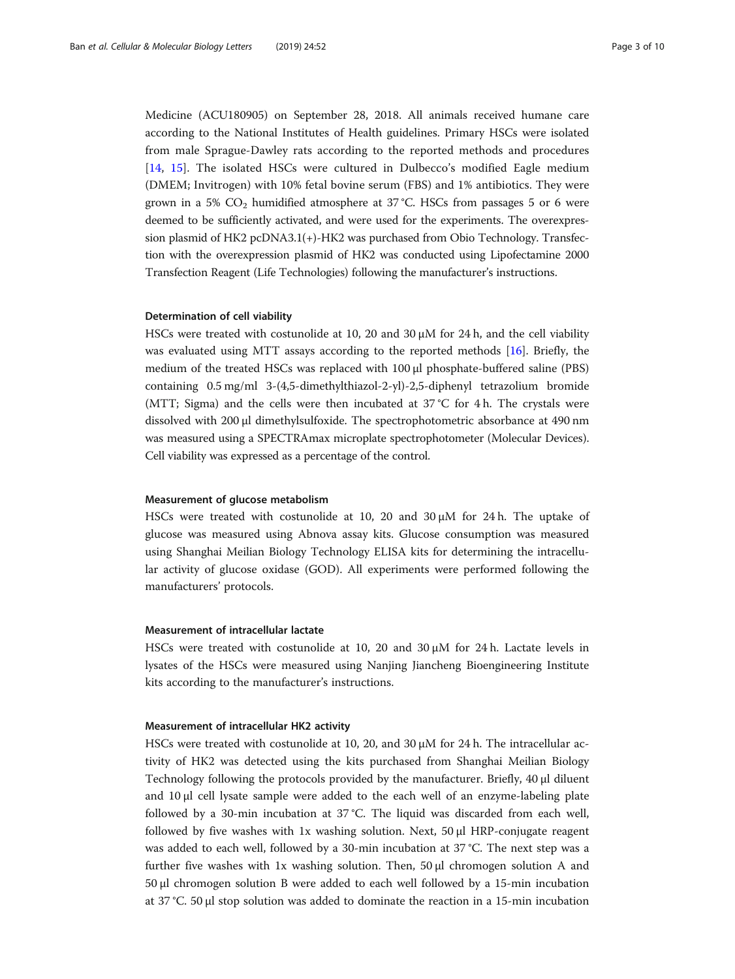Medicine (ACU180905) on September 28, 2018. All animals received humane care according to the National Institutes of Health guidelines. Primary HSCs were isolated from male Sprague-Dawley rats according to the reported methods and procedures [[14,](#page-9-0) [15](#page-9-0)]. The isolated HSCs were cultured in Dulbecco's modified Eagle medium (DMEM; Invitrogen) with 10% fetal bovine serum (FBS) and 1% antibiotics. They were grown in a 5%  $CO<sub>2</sub>$  humidified atmosphere at 37 °C. HSCs from passages 5 or 6 were deemed to be sufficiently activated, and were used for the experiments. The overexpression plasmid of HK2 pcDNA3.1(+)-HK2 was purchased from Obio Technology. Transfection with the overexpression plasmid of HK2 was conducted using Lipofectamine 2000 Transfection Reagent (Life Technologies) following the manufacturer's instructions.

#### Determination of cell viability

HSCs were treated with costunolide at 10, 20 and 30  $\mu$ M for 24 h, and the cell viability was evaluated using MTT assays according to the reported methods [\[16](#page-9-0)]. Briefly, the medium of the treated HSCs was replaced with 100 μl phosphate-buffered saline (PBS) containing 0.5 mg/ml 3-(4,5-dimethylthiazol-2-yl)-2,5-diphenyl tetrazolium bromide (MTT; Sigma) and the cells were then incubated at  $37^{\circ}$ C for 4 h. The crystals were dissolved with 200 μl dimethylsulfoxide. The spectrophotometric absorbance at 490 nm was measured using a SPECTRAmax microplate spectrophotometer (Molecular Devices). Cell viability was expressed as a percentage of the control.

# Measurement of glucose metabolism

HSCs were treated with costunolide at 10, 20 and  $30 \mu M$  for 24 h. The uptake of glucose was measured using Abnova assay kits. Glucose consumption was measured using Shanghai Meilian Biology Technology ELISA kits for determining the intracellular activity of glucose oxidase (GOD). All experiments were performed following the manufacturers' protocols.

## Measurement of intracellular lactate

HSCs were treated with costunolide at 10, 20 and 30 μM for 24 h. Lactate levels in lysates of the HSCs were measured using Nanjing Jiancheng Bioengineering Institute kits according to the manufacturer's instructions.

#### Measurement of intracellular HK2 activity

HSCs were treated with costunolide at 10, 20, and 30  $\mu$ M for 24 h. The intracellular activity of HK2 was detected using the kits purchased from Shanghai Meilian Biology Technology following the protocols provided by the manufacturer. Briefly, 40 μl diluent and  $10 \mu$ l cell lysate sample were added to the each well of an enzyme-labeling plate followed by a 30-min incubation at 37 °C. The liquid was discarded from each well, followed by five washes with 1x washing solution. Next, 50 μl HRP-conjugate reagent was added to each well, followed by a 30-min incubation at 37 °C. The next step was a further five washes with 1x washing solution. Then, 50 μl chromogen solution A and 50 μl chromogen solution B were added to each well followed by a 15-min incubation at 37 °C. 50 μl stop solution was added to dominate the reaction in a 15-min incubation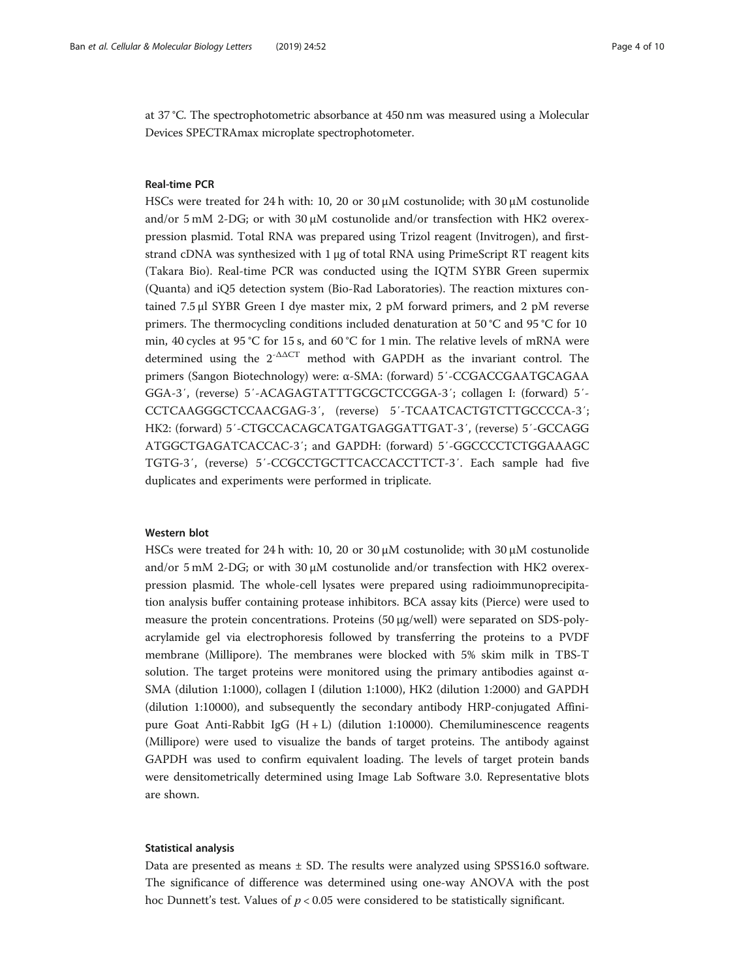at 37 °C. The spectrophotometric absorbance at 450 nm was measured using a Molecular Devices SPECTRAmax microplate spectrophotometer.

# Real-time PCR

HSCs were treated for 24 h with: 10, 20 or 30 μM costunolide; with 30 μM costunolide and/or 5 mM 2-DG; or with 30  $\mu$ M costunolide and/or transfection with HK2 overexpression plasmid. Total RNA was prepared using Trizol reagent (Invitrogen), and firststrand cDNA was synthesized with  $1 \mu$ g of total RNA using PrimeScript RT reagent kits (Takara Bio). Real-time PCR was conducted using the IQTM SYBR Green supermix (Quanta) and iQ5 detection system (Bio-Rad Laboratories). The reaction mixtures contained 7.5 μl SYBR Green I dye master mix, 2 pM forward primers, and 2 pM reverse primers. The thermocycling conditions included denaturation at 50 °C and 95 °C for 10 min, 40 cycles at 95 °C for 15 s, and 60 °C for 1 min. The relative levels of mRNA were determined using the  $2^{-\Delta\Delta CT}$  method with GAPDH as the invariant control. The primers (Sangon Biotechnology) were: α-SMA: (forward) 5′-CCGACCGAATGCAGAA GGA-3′, (reverse) 5′-ACAGAGTATTTGCGCTCCGGA-3′; collagen I: (forward) 5′- CCTCAAGGGCTCCAACGAG-3′, (reverse) 5′-TCAATCACTGTCTTGCCCCA-3′; HK2: (forward) 5′-CTGCCACAGCATGATGAGGATTGAT-3′, (reverse) 5′-GCCAGG ATGGCTGAGATCACCAC-3′; and GAPDH: (forward) 5′-GGCCCCTCTGGAAAGC TGTG-3′, (reverse) 5′-CCGCCTGCTTCACCACCTTCT-3′. Each sample had five duplicates and experiments were performed in triplicate.

# Western blot

HSCs were treated for 24 h with: 10, 20 or 30 μM costunolide; with 30 μM costunolide and/or 5 mM 2-DG; or with 30 μM costunolide and/or transfection with HK2 overexpression plasmid. The whole-cell lysates were prepared using radioimmunoprecipitation analysis buffer containing protease inhibitors. BCA assay kits (Pierce) were used to measure the protein concentrations. Proteins (50 μg/well) were separated on SDS-polyacrylamide gel via electrophoresis followed by transferring the proteins to a PVDF membrane (Millipore). The membranes were blocked with 5% skim milk in TBS-T solution. The target proteins were monitored using the primary antibodies against  $\alpha$ -SMA (dilution 1:1000), collagen I (dilution 1:1000), HK2 (dilution 1:2000) and GAPDH (dilution 1:10000), and subsequently the secondary antibody HRP-conjugated Affinipure Goat Anti-Rabbit IgG  $(H + L)$  (dilution 1:10000). Chemiluminescence reagents (Millipore) were used to visualize the bands of target proteins. The antibody against GAPDH was used to confirm equivalent loading. The levels of target protein bands were densitometrically determined using Image Lab Software 3.0. Representative blots are shown.

#### Statistical analysis

Data are presented as means ± SD. The results were analyzed using SPSS16.0 software. The significance of difference was determined using one-way ANOVA with the post hoc Dunnett's test. Values of  $p < 0.05$  were considered to be statistically significant.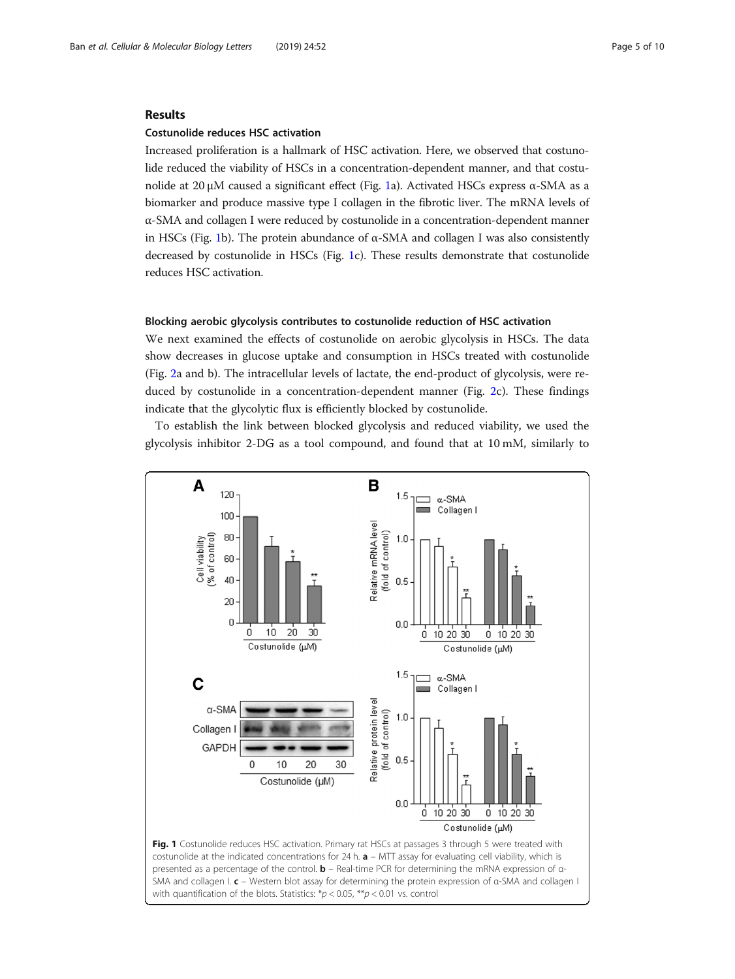# Results

#### Costunolide reduces HSC activation

Increased proliferation is a hallmark of HSC activation. Here, we observed that costunolide reduced the viability of HSCs in a concentration-dependent manner, and that costunolide at 20 μM caused a significant effect (Fig. 1a). Activated HSCs express  $\alpha$ -SMA as a biomarker and produce massive type I collagen in the fibrotic liver. The mRNA levels of α-SMA and collagen I were reduced by costunolide in a concentration-dependent manner in HSCs (Fig. 1b). The protein abundance of  $\alpha$ -SMA and collagen I was also consistently decreased by costunolide in HSCs (Fig. 1c). These results demonstrate that costunolide reduces HSC activation.

### Blocking aerobic glycolysis contributes to costunolide reduction of HSC activation

We next examined the effects of costunolide on aerobic glycolysis in HSCs. The data show decreases in glucose uptake and consumption in HSCs treated with costunolide (Fig. [2](#page-5-0)a and b). The intracellular levels of lactate, the end-product of glycolysis, were reduced by costunolide in a concentration-dependent manner (Fig. [2](#page-5-0)c). These findings indicate that the glycolytic flux is efficiently blocked by costunolide.

To establish the link between blocked glycolysis and reduced viability, we used the glycolysis inhibitor 2-DG as a tool compound, and found that at 10 mM, similarly to

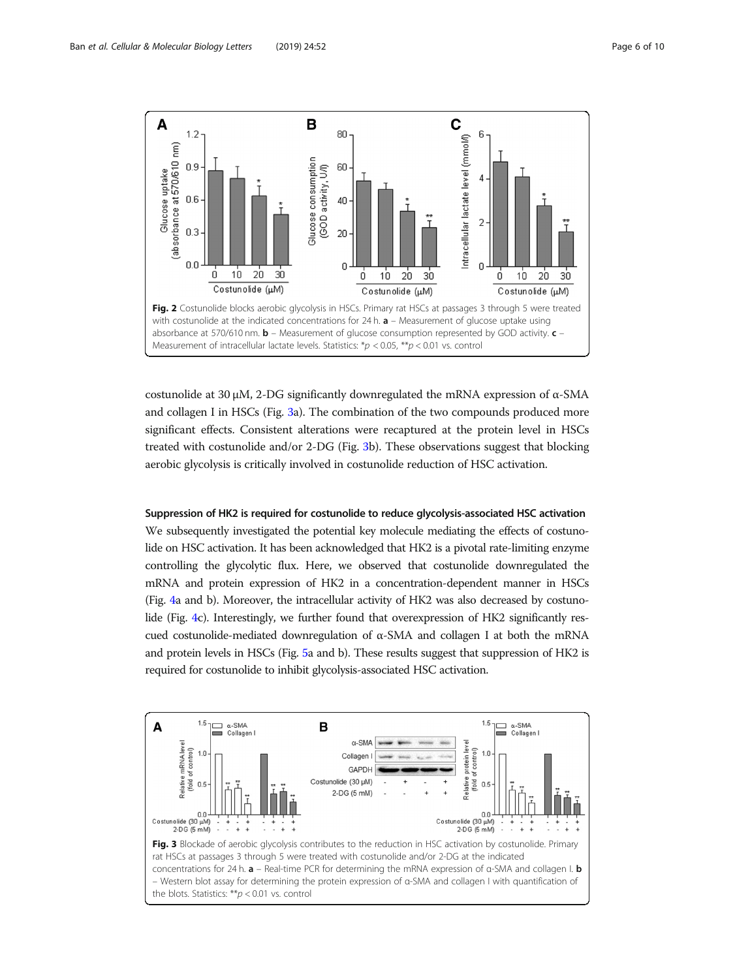<span id="page-5-0"></span>

costunolide at 30 μM, 2-DG significantly downregulated the mRNA expression of α-SMA and collagen I in HSCs (Fig. 3a). The combination of the two compounds produced more significant effects. Consistent alterations were recaptured at the protein level in HSCs treated with costunolide and/or 2-DG (Fig. 3b). These observations suggest that blocking aerobic glycolysis is critically involved in costunolide reduction of HSC activation.

Suppression of HK2 is required for costunolide to reduce glycolysis-associated HSC activation We subsequently investigated the potential key molecule mediating the effects of costunolide on HSC activation. It has been acknowledged that HK2 is a pivotal rate-limiting enzyme controlling the glycolytic flux. Here, we observed that costunolide downregulated the mRNA and protein expression of HK2 in a concentration-dependent manner in HSCs (Fig. [4](#page-6-0)a and b). Moreover, the intracellular activity of HK2 was also decreased by costunolide (Fig. [4](#page-6-0)c). Interestingly, we further found that overexpression of HK2 significantly rescued costunolide-mediated downregulation of α-SMA and collagen I at both the mRNA and protein levels in HSCs (Fig. [5a](#page-6-0) and b). These results suggest that suppression of HK2 is required for costunolide to inhibit glycolysis-associated HSC activation.

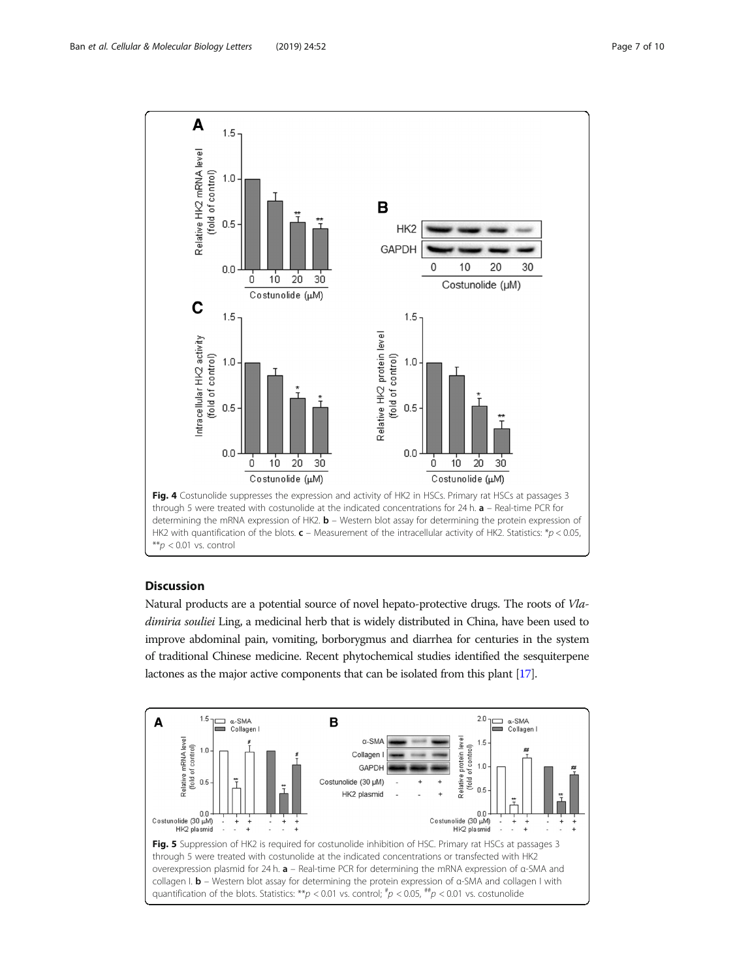<span id="page-6-0"></span>

# **Discussion**

Natural products are a potential source of novel hepato-protective drugs. The roots of Vladimiria souliei Ling, a medicinal herb that is widely distributed in China, have been used to improve abdominal pain, vomiting, borborygmus and diarrhea for centuries in the system of traditional Chinese medicine. Recent phytochemical studies identified the sesquiterpene lactones as the major active components that can be isolated from this plant [\[17](#page-9-0)].

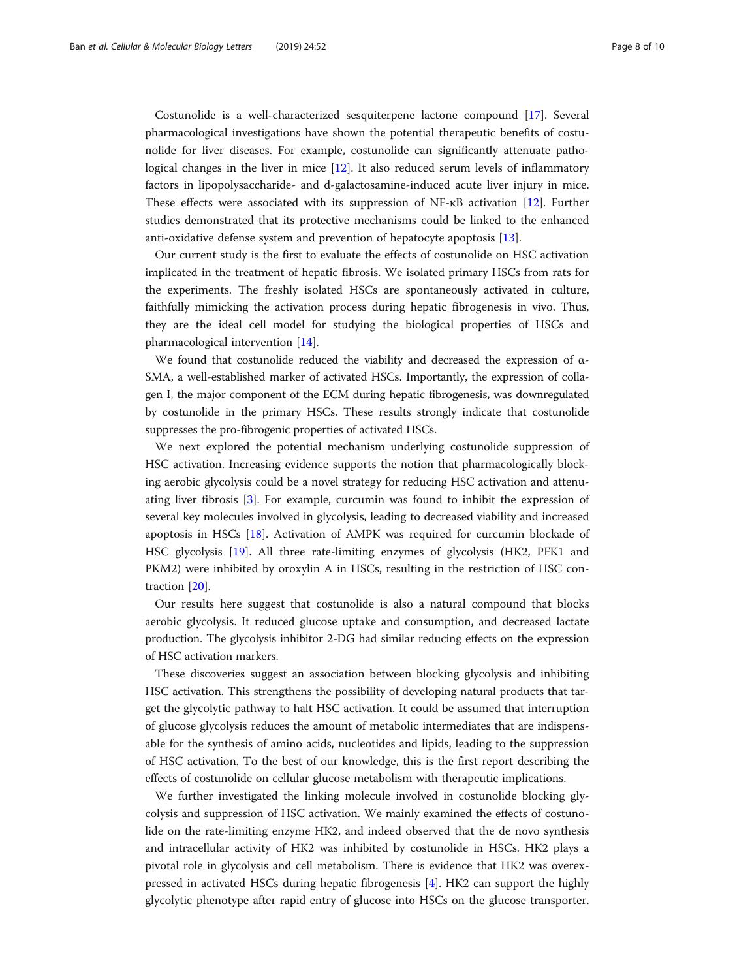Costunolide is a well-characterized sesquiterpene lactone compound [\[17](#page-9-0)]. Several pharmacological investigations have shown the potential therapeutic benefits of costunolide for liver diseases. For example, costunolide can significantly attenuate pathological changes in the liver in mice [\[12](#page-9-0)]. It also reduced serum levels of inflammatory factors in lipopolysaccharide- and d-galactosamine-induced acute liver injury in mice. These effects were associated with its suppression of NF-κB activation [\[12](#page-9-0)]. Further studies demonstrated that its protective mechanisms could be linked to the enhanced anti-oxidative defense system and prevention of hepatocyte apoptosis [[13](#page-9-0)].

Our current study is the first to evaluate the effects of costunolide on HSC activation implicated in the treatment of hepatic fibrosis. We isolated primary HSCs from rats for the experiments. The freshly isolated HSCs are spontaneously activated in culture, faithfully mimicking the activation process during hepatic fibrogenesis in vivo. Thus, they are the ideal cell model for studying the biological properties of HSCs and pharmacological intervention [\[14](#page-9-0)].

We found that costunolide reduced the viability and decreased the expression of  $\alpha$ -SMA, a well-established marker of activated HSCs. Importantly, the expression of collagen I, the major component of the ECM during hepatic fibrogenesis, was downregulated by costunolide in the primary HSCs. These results strongly indicate that costunolide suppresses the pro-fibrogenic properties of activated HSCs.

We next explored the potential mechanism underlying costunolide suppression of HSC activation. Increasing evidence supports the notion that pharmacologically blocking aerobic glycolysis could be a novel strategy for reducing HSC activation and attenuating liver fibrosis [\[3](#page-8-0)]. For example, curcumin was found to inhibit the expression of several key molecules involved in glycolysis, leading to decreased viability and increased apoptosis in HSCs [[18](#page-9-0)]. Activation of AMPK was required for curcumin blockade of HSC glycolysis [[19\]](#page-9-0). All three rate-limiting enzymes of glycolysis (HK2, PFK1 and PKM2) were inhibited by oroxylin A in HSCs, resulting in the restriction of HSC contraction [[20](#page-9-0)].

Our results here suggest that costunolide is also a natural compound that blocks aerobic glycolysis. It reduced glucose uptake and consumption, and decreased lactate production. The glycolysis inhibitor 2-DG had similar reducing effects on the expression of HSC activation markers.

These discoveries suggest an association between blocking glycolysis and inhibiting HSC activation. This strengthens the possibility of developing natural products that target the glycolytic pathway to halt HSC activation. It could be assumed that interruption of glucose glycolysis reduces the amount of metabolic intermediates that are indispensable for the synthesis of amino acids, nucleotides and lipids, leading to the suppression of HSC activation. To the best of our knowledge, this is the first report describing the effects of costunolide on cellular glucose metabolism with therapeutic implications.

We further investigated the linking molecule involved in costunolide blocking glycolysis and suppression of HSC activation. We mainly examined the effects of costunolide on the rate-limiting enzyme HK2, and indeed observed that the de novo synthesis and intracellular activity of HK2 was inhibited by costunolide in HSCs. HK2 plays a pivotal role in glycolysis and cell metabolism. There is evidence that HK2 was overexpressed in activated HSCs during hepatic fibrogenesis [[4](#page-8-0)]. HK2 can support the highly glycolytic phenotype after rapid entry of glucose into HSCs on the glucose transporter.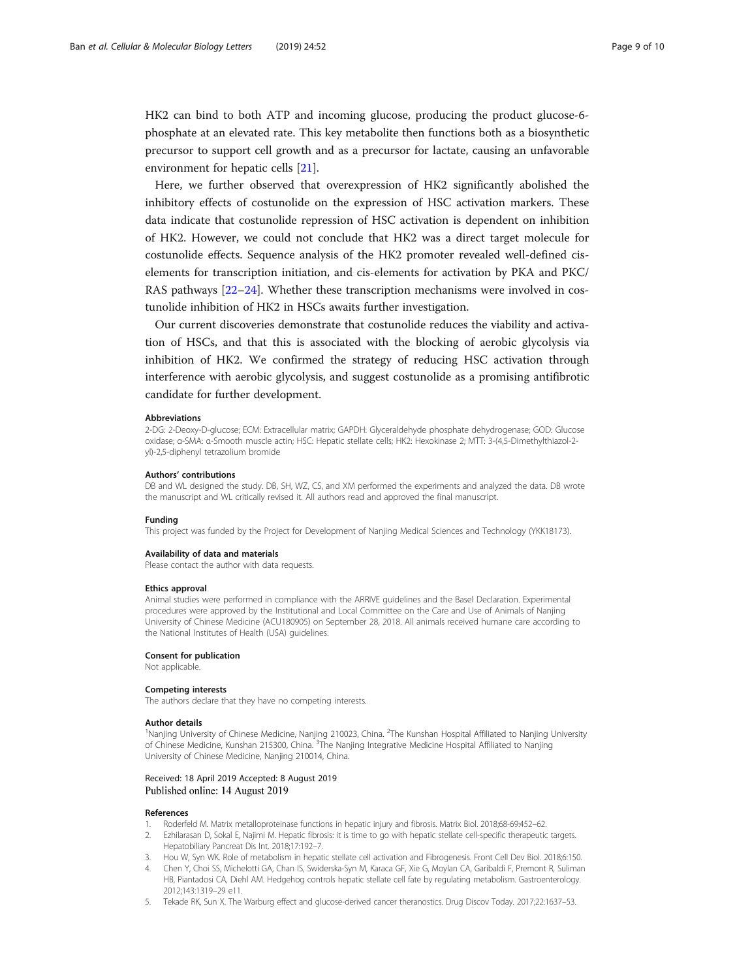<span id="page-8-0"></span>HK2 can bind to both ATP and incoming glucose, producing the product glucose-6 phosphate at an elevated rate. This key metabolite then functions both as a biosynthetic precursor to support cell growth and as a precursor for lactate, causing an unfavorable environment for hepatic cells [[21](#page-9-0)].

Here, we further observed that overexpression of HK2 significantly abolished the inhibitory effects of costunolide on the expression of HSC activation markers. These data indicate that costunolide repression of HSC activation is dependent on inhibition of HK2. However, we could not conclude that HK2 was a direct target molecule for costunolide effects. Sequence analysis of the HK2 promoter revealed well-defined ciselements for transcription initiation, and cis-elements for activation by PKA and PKC/ RAS pathways [[22](#page-9-0)–[24](#page-9-0)]. Whether these transcription mechanisms were involved in costunolide inhibition of HK2 in HSCs awaits further investigation.

Our current discoveries demonstrate that costunolide reduces the viability and activation of HSCs, and that this is associated with the blocking of aerobic glycolysis via inhibition of HK2. We confirmed the strategy of reducing HSC activation through interference with aerobic glycolysis, and suggest costunolide as a promising antifibrotic candidate for further development.

#### Abbreviations

2-DG: 2-Deoxy-D-glucose; ECM: Extracellular matrix; GAPDH: Glyceraldehyde phosphate dehydrogenase; GOD: Glucose oxidase; α-SMA: α-Smooth muscle actin; HSC: Hepatic stellate cells; HK2: Hexokinase 2; MTT: 3-(4,5-Dimethylthiazol-2 yl)-2,5-diphenyl tetrazolium bromide

#### Authors' contributions

DB and WL designed the study. DB, SH, WZ, CS, and XM performed the experiments and analyzed the data. DB wrote the manuscript and WL critically revised it. All authors read and approved the final manuscript.

#### Funding

This project was funded by the Project for Development of Nanjing Medical Sciences and Technology (YKK18173).

#### Availability of data and materials

Please contact the author with data requests.

#### Ethics approval

Animal studies were performed in compliance with the ARRIVE guidelines and the Basel Declaration. Experimental procedures were approved by the Institutional and Local Committee on the Care and Use of Animals of Nanjing University of Chinese Medicine (ACU180905) on September 28, 2018. All animals received humane care according to the National Institutes of Health (USA) guidelines.

#### Consent for publication

Not applicable.

#### Competing interests

The authors declare that they have no competing interests.

#### Author details

<sup>1</sup> Nanjing University of Chinese Medicine, Nanjing 210023, China. <sup>2</sup>The Kunshan Hospital Affiliated to Nanjing University of Chinese Medicine, Kunshan 215300, China. <sup>3</sup>The Nanjing Integrative Medicine Hospital Affiliated to Nanjing University of Chinese Medicine, Nanjing 210014, China.

#### Received: 18 April 2019 Accepted: 8 August 2019 Published online: 14 August 2019

#### References

- 1. Roderfeld M. Matrix metalloproteinase functions in hepatic injury and fibrosis. Matrix Biol. 2018;68-69:452–62.
- 2. Ezhilarasan D, Sokal E, Najimi M. Hepatic fibrosis: it is time to go with hepatic stellate cell-specific therapeutic targets. Hepatobiliary Pancreat Dis Int. 2018;17:192–7.
- 3. Hou W, Syn WK. Role of metabolism in hepatic stellate cell activation and Fibrogenesis. Front Cell Dev Biol. 2018;6:150.
- 4. Chen Y, Choi SS, Michelotti GA, Chan IS, Swiderska-Syn M, Karaca GF, Xie G, Moylan CA, Garibaldi F, Premont R, Suliman HB, Piantadosi CA, Diehl AM. Hedgehog controls hepatic stellate cell fate by regulating metabolism. Gastroenterology. 2012;143:1319–29 e11.
- 5. Tekade RK, Sun X. The Warburg effect and glucose-derived cancer theranostics. Drug Discov Today. 2017;22:1637–53.